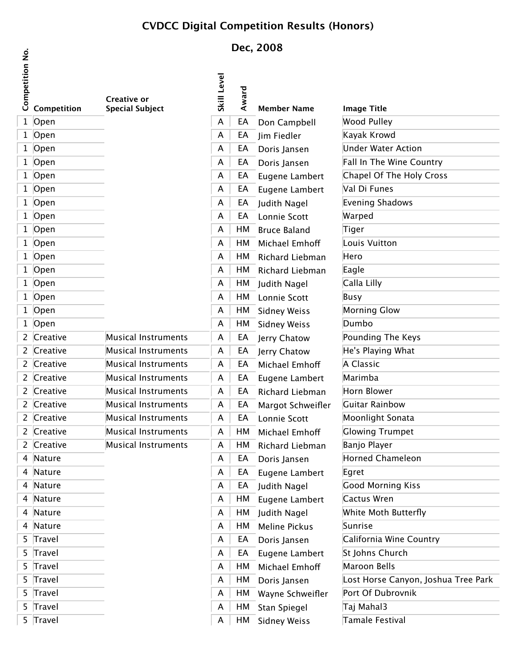## **CVDCC Digital Competition Results (Honors)**

## **Dec, 2008**

|                                   |                                              | DEL, LUVU          |       |                     |                               |
|-----------------------------------|----------------------------------------------|--------------------|-------|---------------------|-------------------------------|
| Competition No.<br>Competition    | <b>Creative or</b><br><b>Special Subject</b> | <b>Skill Level</b> | Award | <b>Member Name</b>  | <b>Image Title</b>            |
| Open<br>$\mathbf{1}$              |                                              | A                  | EA    | Don Campbell        | ىمللىنى لەر                   |
| 1 Open                            |                                              | A                  | EA    | Jim Fiedler         | امستمع كالملحيا               |
| Open<br>1                         |                                              | A                  | EA    | Doris Jansen        | $H \sim 100$                  |
| Open<br>$\mathbf{1}$              |                                              | A                  | EA    | Doris Jansen        |                               |
| Open<br>$\mathbf{1}$              |                                              | A                  | EA    | Eugene Lambert      | unal Of The Haly Cro          |
| Open<br>1                         |                                              | A                  | EA    | Eugene Lambert      | L                             |
| Open<br>$\mathbf{1}$              |                                              | A                  | EA    | Judith Nagel        | بماموطاك ومسند                |
| Open<br>$\mathbf{1}$              |                                              | A                  | EA    | Lonnie Scott        | صصصصه                         |
| Open<br>1                         |                                              | A                  | HM    | <b>Bruce Baland</b> |                               |
| Open<br>$\mathbf{1}$              |                                              | A                  | HM    | Michael Emhoff      | مععنىبانا وغر                 |
| Open<br>$\mathbf 1$               |                                              | A                  | HM    | Richard Liebman     | ععملا                         |
| Open<br>1                         |                                              | A                  | HM    | Richard Liebman     | بلمم                          |
| Open<br>$\mathbf{1}$              |                                              | A                  | HM    | Judith Nagel        | بللنبا جللم                   |
| Open<br>$\mathbf 1$               |                                              | A                  | HM    | Lonnie Scott        |                               |
| Open<br>1                         |                                              | A                  | HM    | <b>Sidney Weiss</b> | بملته ومنوعهم                 |
| Open<br>$\mathbf{1}$              |                                              | A                  | HM    | <b>Sidney Weiss</b> | مطمه                          |
| Creative<br>$\mathbf{2}$          | Musical Instruments                          | A                  | EA    | Jerry Chatow        | dina Tha Var                  |
| Creative<br>$\mathbf{2}$          | Musical Instruments                          | A                  | EA    | Jerry Chatow        | فحطلها ومشيحاتا علمه          |
| Creative<br>$\mathbf{2}$          | Musical Instruments                          | A                  | EA    | Michael Emhoff      | منممطت                        |
| Creative<br>$\mathbf{2}$          | Musical Instruments                          | A                  | EA    | Eugene Lambert      | مطمعن عدا                     |
| Creative<br>$\mathbf{2}$          | Musical Instruments                          | A                  | EA    | Richard Liebman     | مستملف                        |
| Creative<br>$\mathbf{2}^{\prime}$ | Musical Instruments                          | A                  | EA    | Margot Schweifler   | للمندف                        |
| 2 Creative                        | Musical Instruments                          | A                  | EA    | Lonnie Scott        | عدموع +طعنلممم1\              |
| Creative<br>2                     | Musical Instruments                          | A                  | HM    | Michael Emhoff      | awing Trumpot                 |
| 2 Creative                        | Musical Instruments                          | A                  | HM    | Richard Liebman     | حملت                          |
| Nature<br>4                       |                                              | A                  | EA    | Doris Jansen        | Jarned Chameleon              |
| Nature<br>4                       |                                              | A                  | EA    | Eugene Lambert      |                               |
| Nature<br>4                       |                                              | A                  | EA    | Judith Nagel        | عنابا بممنمه                  |
| Nature<br>4                       |                                              | A                  | HM    | Eugene Lambert      |                               |
| Nature<br>4                       |                                              | A                  | HM    | Judith Nagel        | White Math Duttorfly          |
| Nature<br>4                       |                                              | A                  | HM    | Meline Pickus       |                               |
| Travel<br>5.                      |                                              | A                  | EA    | Doris Jansen        | Salifornia Wino Countr        |
| 5<br>Travel                       |                                              | A                  | EA    | Eugene Lambert      | طمعينتاك عميطماخ              |
| Travel<br>5.                      |                                              | A                  | HM    | Michael Emhoff      | بللمقت                        |
| Travel<br>5                       |                                              | A                  | HM    | Doris Jansen        | Horce Canvon Jochus Troo Darl |
| 5<br>Travel                       |                                              | A                  | HМ    | Wayne Schweifler    | Dart Of Dubroupik             |
| Travel<br>5.                      |                                              | A                  | HM    | Stan Spiegel        | تلمطمقهن                      |
| 5 Travel                          |                                              | A                  | HM    | <b>Sidney Weiss</b> | لمستعمك ملمصم                 |
|                                   |                                              |                    |       |                     |                               |

 $\frac{\dot{\mathsf{S}}}{\mathsf{Z}}$ 

| اه<br>Щ<br>Wee<br>D.                     |
|------------------------------------------|
| Kayak Krowd                              |
| Under Water Action                       |
| Fall In The Win                          |
| Changl Of The<br>ملط                     |
| Val Di Eunes                             |
| Evening Shade                            |
| Warned                                   |
| Tiger                                    |
| ، ۱۸ منینم<br>L                          |
| $H^{\alpha}$                             |
| $E$ ado                                  |
| $C$ alla Lill                            |
| B <sub>max</sub>                         |
| Morning Clow                             |
| $D$ umb                                  |
| ىنە<br>مط⊤ م<br>Pour                     |
| He's Playing Wh                          |
| $A$ Class                                |
| Marimh                                   |
| Horn Plouwr                              |
| Cuitar D<br>Ь                            |
| Moonligh                                 |
| Clouring                                 |
| Benie Dl                                 |
| <b>Horned</b><br>ماے                     |
| Egret                                    |
| Cood Morr<br>IZ:                         |
| $\overline{G}$<br>ur Wr                  |
| White Moth Putterfly                     |
| S <sub>mn</sub>                          |
| California<br>ML                         |
| $St.$ Johns $f$<br>ملمعين                |
| Margar<br>п<br>D                         |
| عطيمه<br>علع<br>$\mathsf L$<br><b>בם</b> |
| Port Of Dubroupile                       |
| Tai Mah<br>حنہ                           |
| ملحصهم<br>D<br>تنف                       |